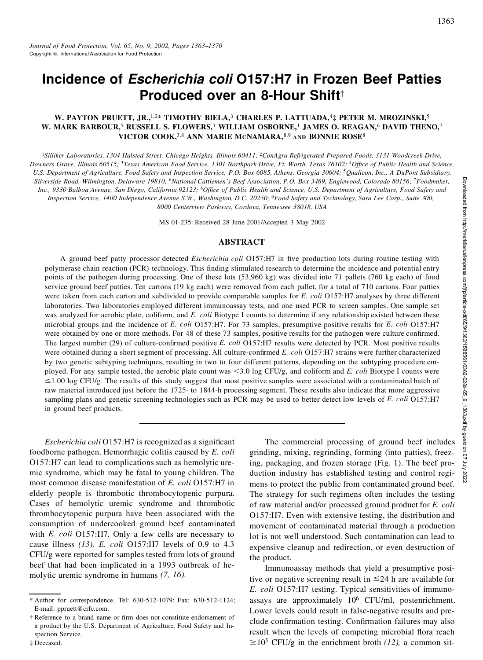# **Incidence of** *Escherichia coli* **O157:H7 in Frozen Beef Patties Produced over an 8-Hour Shift**†

### **W. PAYTON PRUETT, JR.,**1,2\* **TIMOTHY BIELA,**<sup>3</sup> **CHARLES P. LATTUADA,**4‡ **PETER M. MROZINSKI,**<sup>5</sup> **W. MARK BARBOUR,**<sup>5</sup> **RUSSELL S. FLOWERS,**<sup>1</sup> **WILLIAM OSBORNE,**<sup>1</sup> **JAMES O. REAGAN,**<sup>6</sup> **DAVID THENO,**<sup>7</sup> **VICTOR COOK,**3,8 **ANN MARIE MCNAMARA,**8,9 **AND BONNIE ROSE**<sup>8</sup>

<sup>1</sup>Silliker Laboratories, 1304 Halsted Street, Chicago Heights, Illinois 60411; <sup>2</sup>ConAgra Refrigerated Prepared Foods, 3131 Woodcreek Drive, Downers Grove, Illinois 60515; <sup>3</sup>Texas American Food Service, 1301 Northpark Drive, Ft. Worth, Texas 76102; <sup>4</sup>Office of Public Health and Science, U.S. Department of Agriculture, Food Safety and Inspection Service, P.O. Box 6085, Athens, Georgia 30604; <sup>5</sup>Qualicon, Inc., A DuPont Subsidiary, Silverside Road, Wilmington, Delaware 19810; <sup>6</sup>National Cattlemen's Beef Association, P.O. Box 3469, Englewood, Colorado 80156; <sup>7</sup>Foodmaker, Inc., 9330 Balboa Avenue, San Diego, California 92123; <sup>8</sup>Office of Public Health and Science, U.S. Department of Agriculture, Food Safety and Inspection Service, 1400 Independence Avenue S.W., Washington, D.C. 20250; <sup>9</sup>Food Safety and Technology, Sara Lee Corp., Suite 300, *8000 Centerview Parkway, Cordova, Tennessee 38018, USA*

MS 01-235: Received 28 June 2001/Accepted 3 May 2002

#### **ABSTRACT**

A ground beef patty processor detected *Escherichia coli* O157:H7 in five production lots during routine testing with polymerase chain reaction (PCR) technology. This finding stimulated research to determine the incidence and potential entry points of the pathogen during processing. One of these lots (53,960 kg) was divided into 71 pallets (760 kg each) of food service ground beef patties. Ten cartons (19 kg each) were removed from each pallet, for a total of 710 cartons. Four patties were taken from each carton and subdivided to provide comparable samples for *E. coli* O157:H7 analyses by three different laboratories. Two laboratories employed different immunoassay tests, and one used PCR to screen samples. One sample set was analyzed for aerobic plate, coliform, and *E. coli* Biotype I counts to determine if any relationship existed between these microbial groups and the incidence of *E. coli* O157:H7. For 73 samples, presumptive positive results for *E. coli* O157:H7 were obtained by one or more methods. For 48 of these 73 samples, positive results for the pathogen were culture confirmed. The largest number (29) of culture-confirmed positive *E. coli* O157:H7 results were detected by PCR. Most positive results were obtained during a short segment of processing. All culture-confirmed *E. coli* O157:H7 strains were further characterized by two genetic subtyping techniques, resulting in two to four different patterns, depending on the subtyping procedure em ployed. For any sample tested, the aerobic plate count was  $\leq 3.0$  log CFU/g, and coliform and *E. coli* Biotype I counts were  $\leq$ 1.00 log CFU/g. The results of this study suggest that most positive samples were associated with a contaminated batch of raw material introduced just before the 1725- to 1844-h processing segment. These results also indicate that more aggressive sampling plans and genetic screening technologies such as PCR may be used to better detect low levels of *E. coli* O157:H7 in ground beef products. iation, P.O. Box 3469, Englewood, Colorado 80156; Troodmaker,<br>
h and Science, U.S. Deparment of Agriculture, Food Safety and<br>  $\alpha$ ;  $\gamma$ Food Safety and Technology, Sara Lee Corp., Suite 300,<br>  $\alpha$ ;  $\gamma$ Food Safety and Tec

*Escherichia coli* O157: H7 is recognized as a significant foodborne pathogen. Hemorrhagic colitis caused by *E. coli* O157:H7 can lead to complications such as hemolytic uremic syndrome, which may be fatal to young children. The most common disease manifestation of *E. coli* O157:H7 in elderly people is thrombotic thrombocytopenic purpura. Cases of hemolytic uremic syndrome and thrombotic thrombocytopenic purpura have been associated with the consumption of undercooked ground beef contaminated with *E. coli* O157:H7. Only a few cells are necessary to cause illness *(13). E. coli* O157:H7 levels of 0.9 to 4.3 CFU/g were reported for samples tested from lots of ground beef that had been implicated in a 1993 outbreak of hemolytic uremic syndrome in humans *(7, 16).*

‡ Deceased.

grinding, mixing, regrinding, forming (into patties), freezing, packaging, and frozen storage (Fig. 1). The beef production industry has established testing and control regimens to protect the public from contaminated ground beef. The strategy for such regimens often includes the testing of raw material and/or processed ground product for *E. coli* O157:H7. Even with extensive testing, the distribution and movement of contaminated material through a production lot is not well understood. Such contamination can lead to expensive cleanup and redirection, or even destruction of the product.

Immunoassay methods that yield a presumptive positive or negative screening result in  $\leq$ 24 h are available for *E. coli* O157:H7 testing. Typical sensitivities of immunoassays are approximately 10<sup>6</sup> CFU/ml, postenrichment. Lower levels could result in false-negative results and preclude confirmation testing. Confirmation failures may also result when the levels of competing microbial flora reach  $\geq 10^5$  CFU/g in the enrichment broth (12), a common sit-

<sup>\*</sup> Author for correspondence. Tel: 630-512-1079; Fax: 630-512-1124; E-mail: ppruett@crfc.com.

<sup>†</sup> Reference to a brand name or firm does not constitute endorsement of a product by the U.S. Department of Agriculture, Food Safety and Inspection Service.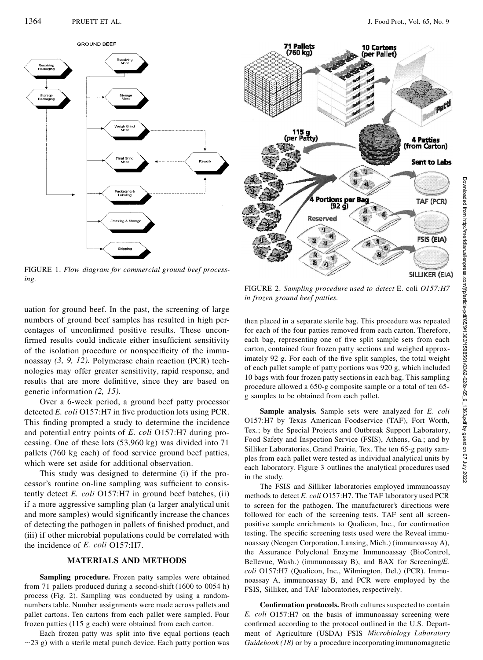

FIGURE 1.*Flow diagram for commercial ground beef processing.*



uation for ground beef. In the past, the screening of large numbers of ground beef samples has resulted in high per-

centages of unconfirmed positive results. These unconfirmed results could indicate either insufficient sensitivity of the isolation procedure or nonspecificity of the immunoassay *(3, 9, 12).* Polymerase chain reaction (PCR) technologies may offer greater sensitivity, rapid response, and results that are more definitive, since they are based on genetic information *(2, 15).*

Over a 6-week period, a ground beef patty processor detected *E. coli* O157:H7 in five production lots using PCR. This finding prompted a study to determine the incidence and potential entry points of *E. coli* O157:H7 during processing. One of these lots (53,960 kg) was divided into 71 pallets (760 kg each) of food service ground beef patties, which were set aside for additional observation.

This study was designed to determine (i) if the processor's routine on-line sampling was sufficient to consistently detect *E. coli* O157:H7 in ground beef batches, (ii) if a more aggressive sampling plan (a larger analytical unit and more samples) would significantly increase the chances of detecting the pathogen in pallets of finished product, and (iii) if other microbial populations could be correlated with the incidence of *E. coli* O157:H7.

#### **MATERIALS AND METHODS**

**Sampling procedure.** Frozen patty samples were obtained from 71 pallets produced during a second-shift (1600 to 0054 h) process (Fig. 2). Sampling was conducted by using a randomnumbers table. Number assignments were made across pallets and pallet cartons. Ten cartons from each pallet were sampled. Four frozen patties (115 g each) were obtained from each carton.

Each frozen patty was split into five equal portions (each  $\sim$ 23 g) with a sterile metal punch device. Each patty portion was

*in frozen ground beef patties.*

then placed in a separate sterile bag. This procedure was repeated for each of the four patties removed from each carton. Therefore, each bag, representing one of five split sample sets from each carton, contained four frozen patty sections and weighed approximately 92 g. For each of the five split samples, the total weight of each pallet sample of patty portions was 920 g, which included 10 bags with four frozen patty sectionsin each bag. This sampling procedure allowed a 650-g composite sample or a total of ten 65 g samples to be obtained from each pallet.

**Sample analysis.** Sample sets were analyzed for *E. coli* O157:H7 by Texas American Foodservice (TAF), Fort Worth, Tex.; by the Special Projects and Outbreak Support Laboratory, Food Safety and Inspection Service (FSIS), Athens, Ga.; and by Silliker Laboratories, Grand Prairie, Tex. The ten 65-g patty sam ples from each pallet were tested as individual analytical units by each laboratory. Figure 3 outlines the analytical procedures used in the study.

The FSIS and Silliker laboratories employed immunoassay methods to detect *E. coli* O157:H7. The TAF laboratory used PCR to screen for the pathogen. The manufacturer's directions were followed for each of the screening tests. TAF sent all screen positive sample enrichments to Qualicon, Inc., for confirmation testing. The specific screening tests used were the Reveal immunoassay (Neogen Corporation, Lansing, Mich.) (immunoassay A), the Assurance Polyclonal Enzyme Immunoassay (BioControl, Bellevue, Wash.) (immunoassay B), and BAX for Screening/*E. coli* O157:H7 (Qualicon, Inc., Wilmington, Del.) (PCR). Immunoassay A, immunoassay B, and PCR were employed by the FSIS, Silliker, and TAF laboratories, respectively.

**Confirmation protocols.** Broth cultures suspected to contain *E. coli* O157:H7 on the basis of immunoassay screening were confirmed according to the protocol outlined in the U.S. Department of Agriculture (USDA) FSIS *Microbiology Laboratory Guidebook (18)* or by a procedure incorporating immunomagnetic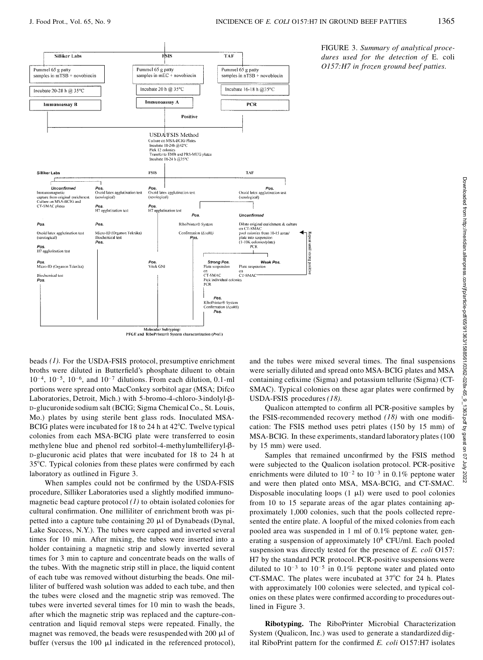**Fund** 

Attrend Suppe



FIGURE 3.*Summary of analytical procedures used for the detection of* E. coli *O157:H7 in frozen ground beef patties.*

beads *(1).* For the USDA-FSIS protocol, presumptive enrichment broths were diluted in Butterfield's phosphate diluent to obtain  $10^{-4}$ ,  $10^{-5}$ ,  $10^{-6}$ , and  $10^{-7}$  dilutions. From each dilution, 0.1-ml portions were spread onto MacConkey sorbitol agar (MSA; Difco Laboratories, Detroit, Mich.) with 5-bromo-4-chloro-3-indolyl- $\beta$ -D-glucuronide sodium salt(BCIG; Sigma Chemical Co., St. Louis, Mo.) plates by using sterile bent glass rods. Inoculated MSA-BCIG plates were incubated for 18 to 24 h at  $42^{\circ}$ C. Twelve typical colonies from each MSA-BCIG plate were transferred to eosin methylene blue and phenol red sorbitol-4-methylumbelliferyl- $\beta$ -D-glucuronic acid plates that were incubated for 18 to 24 h at 35°C. Typical colonies from these plates were confirmed by each laboratory as outlined in Figure 3.

When samples could not be confirmed by the USDA-FSIS procedure, Silliker Laboratories used a slightly modified immunomagnetic bead capture protocol *(1)* to obtain isolated colonies for cultural confirmation. One milliliter of enrichment broth was pipetted into a capture tube containing 20  $\mu$ l of Dynabeads (Dynal, Lake Success, N.Y.). The tubes were capped and inverted several times for 10 min. After mixing, the tubes were inserted into a holder containing a magnetic strip and slowly inverted several times for 3 min to capture and concentrate beads on the walls of the tubes. With the magnetic strip still in place, the liquid content of each tube was removed without disturbing the beads. One milliliter of buffered wash solution was added to each tube, and then the tubes were closed and the magnetic strip was removed. The tubes were inverted several times for 10 min to wash the beads, after which the magnetic strip was replaced and the capture-concentration and liquid removal steps were repeated. Finally, the magnet was removed, the beads were resuspended with  $200 \mu l$  of buffer (versus the  $100 \mu l$  indicated in the referenced protocol), **Example the tubes were mixed several times. The final suspensions of the tubes were mixed several times. The final suspensions of the tubes were mixed several times. The final suspensions and the tubes were mixed several** were serially diluted and spread onto MSA-BCIG plates and MSA containing cefixime (Sigma) and potassium tellurite (Sigma) (CT-SMAC). Typical colonies on these agar plates were confirmed by USDA-FSIS procedures *(18).*

Qualicon attempted to confirm all PCR-positive samples by the FSIS-recommended recovery method  $(18)$  with one modification: The FSIS method uses petri plates (150 by 15 mm) of MSA-BCIG. In these experiments, standard laboratory plates (100 by 15 mm) were used.

5 mm) were used.<br>Samples that remained unconfirmed by the FSIS method  $\frac{3}{3}$ were subjected to the Qualicon isolation protocol. PCR-positive  $\frac{1}{5}$ <br>enrichments were diluted to  $10^{-2}$  to  $10^{-3}$  in 0.1% peptone water<br>and must then alterlands MSA, MSA PCIC and CT SMAC enrichments were diluted to  $10^{-2}$  to  $10^{-3}$  in 0.1% peptone water and were then plated onto MSA, MSA-BCIG, and CT-SMAC. Disposable inoculating loops  $(1 \mu l)$  were used to pool colonies from 10 to 15 separate areas of the agar plates containing approximately 1,000 colonies, such that the pools collected represented the entire plate. A loopful of the mixed colonies from each pooled area was suspended in 1 ml of 0.1% peptone water, generating a suspension of approximately 10<sup>8</sup> CFU/ml. Each pooled suspension was directly tested for the presence of *E. coli* O157: H7 by the standard PCR protocol. PCR-positive suspensions were diluted to  $10^{-3}$  to  $10^{-5}$  in 0.1% peptone water and plated onto CT-SMAC. The plates were incubated at  $37^{\circ}$ C for 24 h. Plates with approximately 100 colonies were selected, and typical colonies on these plates were confirmed according to procedures outlined in Figure 3.

**Ribotyping.** The RiboPrinter Microbial Characterization System (Qualicon, Inc.) was used to generate a standardized digital RiboPrint pattern for the confirmed *E. coli* O157:H7 isolates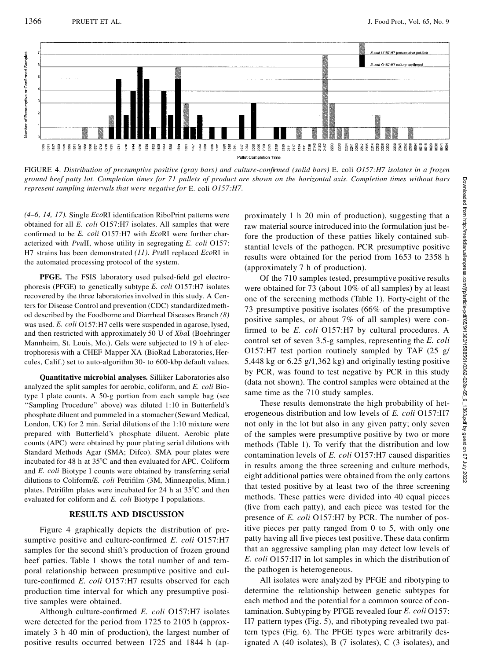

FIGURE 4. Distribution of presumptive positive (gray bars) and culture-confirmed (solid bars) E. coli O157:H7 isolates in a frozen ground beef patty lot. Completion times for 71 pallets of product are shown on the horizontal axis. Completion times without bars *represent sampling intervals that were negative for* E. coli *O157:H7.*

(4–6, 14, 17). Single *Eco*RI identification RiboPrint patterns were obtained for all *E. coli* O157:H7 isolates. All samples that were confirmed to be *E. coli* O157:H7 with *Eco*RI were further characterized with *Pvu*II, whose utility in segregating *E. coli* O157: H7 strains has been demonstrated *(11). Pvu*II replaced *Eco*RI in the automated processing protocol of the system.

**PFGE.** The FSIS laboratory used pulsed-field gel electrophoresis (PFGE) to genetically subtype *E. coli* O157:H7 isolates recovered by the three laboratoriesinvolved in this study. A Centers for Disease Control and prevention (CDC) standardizedmethod described by the Foodborne and Diarrheal Diseases Branch *(8)* was used. *E. coli* O157:H7 cells were suspended in agarose, lysed, and then restricted with approximately 50 U of*Xba*I (Boehringer Mannheim, St. Louis, Mo.). Gels were subjected to 19 h of electrophoresis with a CHEF Mapper XA (BioRad Laboratories, Hercules, Calif.) set to auto-algorithm 30- to 600-kbp default values.

**Quantitative microbial analyses.** Silliker Laboratories also analyzed the split samples for aerobic, coliform, and *E. coli* Biotype I plate counts. A 50-g portion from each sample bag (see "Sampling Procedure" above) was diluted 1:10 in Butterfield's phosphate diluent and pummeled in a stomacher(Seward Medical, London, UK) for 2 min. Serial dilutions of the 1:10 mixture were prepared with Butterfield's phosphate diluent. Aerobic plate counts (APC) were obtained by pour plating serial dilutions with Standard Methods Agar (SMA; Difco). SMA pour plates were incubated for 48 h at  $35^{\circ}$ C and then evaluated for APC. Coliform and *E. coli* Biotype I counts were obtained by transferring serial dilutions to Coliform/*E. coli* Petrifilm (3M, Minneapolis, Minn.) plates. Petrifilm plates were incubated for  $24$  h at  $35^{\circ}$ C and then evaluated for coliform and *E. coli* Biotype I populations.

#### **RESULTS AND DISCUSSION**

Figure 4 graphically depicts the distribution of presumptive positive and culture-confirmed *E. coli* O157:H7 samples for the second shift's production of frozen ground beef patties. Table 1 shows the total number of and temporal relationship between presumptive positive and culture-confirmed *E. coli* O157:H7 results observed for each production time interval for which any presumptive positive samples were obtained.

Although culture-confirmed *E. coli* O157:H7 isolates were detected for the period from 1725 to 2105 h (approximately 3 h 40 min of production), the largest number of positive results occurred between 1725 and 1844 h (apraw material source introduced into the formulation just before the production of these patties likely contained substantial levels of the pathogen. PCR presumptive positive results were obtained for the period from 1653 to 2358 h (approximately 7 h of production).

re shown on the horizontal axis. Completion times without bars<br>
proximately 1 h 20 min of production), suggesting that a<br>
raw material source introduced into the formulation just be-<br>
fore the production of these patties Of the 710 samples tested, presumptive positive results were obtained for 73 (about 10% of all samples) by at least one of the screening methods (Table 1). Forty-eight of the 73 presumptive positive isolates (66% of the presumptive positive samples, or about 7% of all samples) were con firmed to be *E. coli* O157:H7 by cultural procedures. A control set of seven 3.5-g samples, representing the *E. coli* O157:H7 test portion routinely sampled by TAF (25 g/ 5,448 kg or 6.25 g/1,362 kg) and originally testing positive by PCR, was found to test negative by PCR in this study (data not shown). The control samples were obtained at the same time as the 710 study samples.

These results demonstrate the high probability of heterogeneous distribution and low levels of *E. coli* O157:H7 not only in the lot but also in any given patty; only seven of the samples were presumptive positive by two or more methods (Table 1). To verify that the distribution and low contamination levels of *E. coli* O157:H7 caused disparities in results among the three screening and culture methods, eight additional patties were obtained from the only cartons that tested positive by at least two of the three screening methods. These patties were divided into 40 equal pieces (five from each patty), and each piece was tested for the presence of *E. coli* O157:H7 by PCR. The number of positive pieces per patty ranged from 0 to 5, with only one patty having all five pieces test positive. These data confirm that an aggressive sampling plan may detect low levels of *E. coli* O157:H7 in lot samples in which the distribution of the pathogen is heterogeneous.

All isolates were analyzed by PFGE and ribotyping to determine the relationship between genetic subtypes for each method and the potential for a common source of contamination. Subtyping by PFGE revealed four *E. coli* O157: H7 pattern types (Fig. 5), and ribotyping revealed two pattern types (Fig. 6). The PFGE types were arbitrarily designated A  $(40 \text{ isolates})$ , B  $(7 \text{ isolates})$ , C  $(3 \text{ isolates})$ , and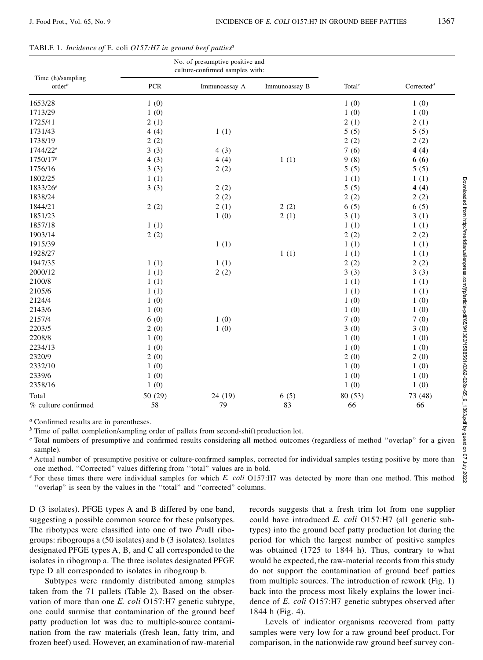|  | TABLE 1. Incidence of E. coli $O157:H7$ in ground beef patties <sup>a</sup> |  |  |  |
|--|-----------------------------------------------------------------------------|--|--|--|
|--|-----------------------------------------------------------------------------|--|--|--|

|                                         |            | No. of presumptive positive and<br>culture-confirmed samples with: |               |                                 |                        |
|-----------------------------------------|------------|--------------------------------------------------------------------|---------------|---------------------------------|------------------------|
| Time (h)/sampling<br>order <sup>b</sup> | <b>PCR</b> | Immunoassay A                                                      | Immunoassay B | Total <sup><math>c</math></sup> | Corrected <sup>d</sup> |
| 1653/28                                 | 1(0)       |                                                                    |               | 1(0)                            | 1(0)                   |
| 1713/29                                 | 1(0)       |                                                                    |               | 1(0)                            | 1(0)                   |
| 1725/41                                 | 2(1)       |                                                                    |               | 2(1)                            | 2(1)                   |
| 1731/43                                 | 4(4)       | 1(1)                                                               |               | 5(5)                            | 5(5)                   |
| 1738/19                                 | 2(2)       |                                                                    |               | 2(2)                            | 2(2)                   |
| $1744/22^e$                             | 3(3)       | 4(3)                                                               |               | 7(6)                            | 4(4)                   |
| 1750/17 <sup>e</sup>                    | 4(3)       | 4(4)                                                               | 1(1)          | 9(8)                            | 6(6)                   |
| 1756/16                                 | 3(3)       | 2(2)                                                               |               | 5(5)                            | 5(5)                   |
| 1802/25                                 | 1(1)       |                                                                    |               | 1(1)                            | 1(1)                   |
| 1833/26 <sup>e</sup>                    | 3(3)       | 2(2)                                                               |               | 5(5)                            | 4(4)                   |
| 1838/24                                 |            | 2(2)                                                               |               | 2(2)                            | 2(2)                   |
| 1844/21                                 | 2(2)       | 2(1)                                                               | 2(2)          | 6(5)                            | 6(5)                   |
| 1851/23                                 |            | 1(0)                                                               | 2(1)          | 3(1)                            | 3(1)                   |
| 1857/18                                 | 1(1)       |                                                                    |               | 1(1)                            | 1(1)                   |
| 1903/14                                 | 2(2)       |                                                                    |               | 2(2)                            | 2(2)                   |
| 1915/39                                 |            | 1(1)                                                               |               | 1(1)                            | 1(1)                   |
| 1928/27                                 |            |                                                                    | 1(1)          | 1(1)                            | 1(1)                   |
| 1947/35                                 | 1(1)       | 1(1)                                                               |               | 2(2)                            | 2(2)                   |
| 2000/12                                 | 1(1)       | 2(2)                                                               |               | 3(3)                            | 3(3)                   |
| 2100/8                                  | 1(1)       |                                                                    |               | 1(1)                            | 1(1)                   |
| 2105/6                                  | 1(1)       |                                                                    |               | 1(1)                            | 1(1)                   |
| 2124/4                                  | 1(0)       |                                                                    |               | 1(0)                            | 1(0)                   |
| 2143/6                                  | 1(0)       |                                                                    |               | 1(0)                            | 1(0)                   |
| 2157/4                                  | 6(0)       | 1(0)                                                               |               | 7(0)                            | 7(0)                   |
| 2203/5                                  | 2(0)       | 1(0)                                                               |               | 3(0)                            | 3(0)                   |
| 2208/8                                  | 1(0)       |                                                                    |               | 1(0)                            | 1(0)                   |
| 2234/13                                 | 1(0)       |                                                                    |               | 1(0)                            | 1(0)                   |
| 2320/9                                  | 2(0)       |                                                                    |               | 2(0)                            | 2(0)                   |
| 2332/10                                 | 1(0)       |                                                                    |               | 1(0)                            | 1(0)                   |
| 2339/6                                  | 1(0)       |                                                                    |               | 1(0)                            | 1(0)                   |
| 2358/16                                 | 1(0)       |                                                                    |               | 1(0)                            | 1(0)                   |
| Total                                   | 50 (29)    | 24(19)                                                             | 6(5)          | 80 (53)                         | 73 (48)                |
| % culture confirmed                     | 58         | 79                                                                 | 83            | 66                              | 66                     |

*<sup>e</sup>* For these times there were individual samples for which *E. coli* O157:H7 was detected by more than one method. This method "overlap" is seen by the values in the "total" and "corrected" columns.

D (3 isolates). PFGE types A and B differed by one band, suggesting a possible common source for these pulsotypes. The ribotypes were classified into one of two *PvuII* ribogroups: ribogroups a (50 isolates) and b (3 isolates). Isolates designated PFGE types A, B, and C all corresponded to the isolates in ribogroup a. The three isolates designated PFGE type D all corresponded to isolates in ribogroup b.

Subtypes were randomly distributed among samples taken from the 71 pallets (Table 2). Based on the observation of more than one *E. coli* O157:H7 genetic subtype, one could surmise that contamination of the ground beef patty production lot was due to multiple-source contamination from the raw materials (fresh lean, fatty trim, and frozen beef) used. However, an examination of raw-material

records suggests that a fresh trim lot from one supplier could have introduced *E. coli* O157:H7 (all genetic subtypes) into the ground beef patty production lot during the period for which the largest number of positive samples was obtained (1725 to 1844 h). Thus, contrary to what would be expected, the raw-material records from this study do not support the contamination of ground beef patties from multiple sources. The introduction of rework (Fig. 1) back into the process most likely explains the lower incidence of *E. coli* O157:H7 genetic subtypes observed after h (Fig. 4).

Levels of indicator organisms recovered from patty samples were very low for a raw ground beef product. For comparison, in the nationwide raw ground beef survey con-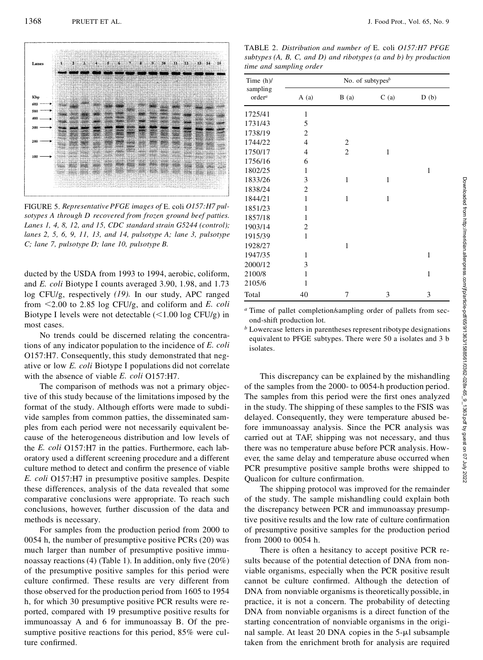

FIGURE 5.*Representative PFGE images of* E. coli *O157:H7 pulsotypes A through D recovered from frozen ground beef patties. Lanes 1, 4, 8, 12, and 15, CDC standard strain G5244 (control); lanes 2, 5, 6, 9, 11, 13, and 14, pulsotype A; lane 3, pulsotype C; lane 7, pulsotype D; lane 10, pulsotype B.*

ducted by the USDA from 1993 to 1994, aerobic, coliform, and *E. coli* Biotype I counts averaged 3.90, 1.98, and 1.73 log CFU/g, respectively *(19).* In our study, APC ranged from ,2.00 to 2.85 log CFU/g, and coliform and *E. coli* Biotype I levels were not detectable  $\left($ <1.00 log CFU/g) in most cases.

No trends could be discerned relating the concentrations of any indicator population to the incidence of *E. coli* O157:H7. Consequently, this study demonstrated that negative or low *E. coli* Biotype I populations did not correlate with the absence of viable *E. coli* O157:H7.

The comparison of methods was not a primary objective of this study because of the limitations imposed by the format of the study. Although efforts were made to subdivide samples from common patties, the disseminated samples from each period were not necessarily equivalent because of the heterogeneous distribution and low levels of the *E. coli* O157:H7 in the patties. Furthermore, each laboratory used a different screening procedure and a different culture method to detect and confirm the presence of viable *E. coli* O157:H7 in presumptive positive samples. Despite these differences, analysis of the data revealed that some comparative conclusions were appropriate. To reach such conclusions, however, further discussion of the data and methods is necessary.

For samples from the production period from 2000 to 0054 h, the number of presumptive positive PCRs (20) was much larger than number of presumptive positive immunoassay reactions (4) (Table 1). In addition, only five  $(20\%)$ of the presumptive positive samples for this period were culture confirmed. These results are very different from those observed for the production period from 1605 to 1954 h, for which 30 presumptive positive PCR results were reported, compared with 19 presumptive positive results for immunoassay A and 6 for immunoassay B. Of the presumptive positive reactions for this period, 85% were culture confirmed.

TABLE 2. *Distribution and number of* E. coli *O157:H7 PFGE subtypes (A, B, C, and D) and ribotypes (a and b) by production time and sampling order*

| Time $(h)$ /                                                                                                                                                                                 | No. of subtypes <sup><math>b</math></sup> |                         |                                                         |                                                                                                                     |  |  |
|----------------------------------------------------------------------------------------------------------------------------------------------------------------------------------------------|-------------------------------------------|-------------------------|---------------------------------------------------------|---------------------------------------------------------------------------------------------------------------------|--|--|
| sampling<br>order <sup>a</sup>                                                                                                                                                               | A(a)                                      | B(a)                    | C(a)                                                    | D(b)                                                                                                                |  |  |
| 1725/41                                                                                                                                                                                      | 1                                         |                         |                                                         |                                                                                                                     |  |  |
| 1731/43                                                                                                                                                                                      | 5                                         |                         |                                                         |                                                                                                                     |  |  |
| 1738/19                                                                                                                                                                                      | 2                                         |                         |                                                         |                                                                                                                     |  |  |
| 1744/22                                                                                                                                                                                      | 4                                         | $\overline{\mathbf{c}}$ |                                                         |                                                                                                                     |  |  |
| 1750/17                                                                                                                                                                                      | 4                                         | $\overline{2}$          | $\mathbf{1}$                                            |                                                                                                                     |  |  |
| 1756/16                                                                                                                                                                                      | 6                                         |                         |                                                         |                                                                                                                     |  |  |
| 1802/25                                                                                                                                                                                      | 1                                         |                         |                                                         | $\mathbf{1}$                                                                                                        |  |  |
| 1833/26                                                                                                                                                                                      | 3                                         | $\mathbf{1}$            | $\mathbf{1}$                                            |                                                                                                                     |  |  |
| 1838/24                                                                                                                                                                                      | 2                                         |                         |                                                         |                                                                                                                     |  |  |
| 1844/21                                                                                                                                                                                      | 1                                         | 1                       | 1                                                       |                                                                                                                     |  |  |
| 1851/23                                                                                                                                                                                      | $\mathbf{1}$                              |                         |                                                         |                                                                                                                     |  |  |
| 1857/18                                                                                                                                                                                      | $\mathbf{1}$                              |                         |                                                         |                                                                                                                     |  |  |
| 1903/14                                                                                                                                                                                      | 2                                         |                         |                                                         |                                                                                                                     |  |  |
| 1915/39                                                                                                                                                                                      | $\mathbf{1}$                              |                         |                                                         |                                                                                                                     |  |  |
| 1928/27                                                                                                                                                                                      |                                           | 1                       |                                                         |                                                                                                                     |  |  |
| 1947/35                                                                                                                                                                                      | 1                                         |                         |                                                         | $\mathbf{1}$                                                                                                        |  |  |
| 2000/12                                                                                                                                                                                      | 3                                         |                         |                                                         |                                                                                                                     |  |  |
| 2100/8                                                                                                                                                                                       | 1                                         |                         |                                                         | $\mathbf{1}$                                                                                                        |  |  |
| 2105/6                                                                                                                                                                                       | $\mathbf{1}$                              |                         |                                                         |                                                                                                                     |  |  |
| Total                                                                                                                                                                                        | 40                                        | 7                       | 3                                                       | 3                                                                                                                   |  |  |
| <sup>a</sup> Time of pallet completion/sampling order of pallets from sec-<br>ond-shift production lot.<br>$b$ Lowercase letters in parentheses represent ribotype designations<br>isolates. |                                           |                         |                                                         | equivalent to PFGE subtypes. There were 50 a isolates and 3 b                                                       |  |  |
| of the samples from the 2000- to 0054-h production period.<br>The samples from this period were the first ones analyzed                                                                      |                                           |                         | delayed. Consequently, they were temperature abused be- | This discrepancy can be explained by the mishandling<br>in the study. The shipping of these samples to the FSIS was |  |  |

The shipping protocol was improved for the remainder of the study. The sample mishandling could explain both the discrepancy between PCR and immunoassay presumptive positive results and the low rate of culture confirmation of presumptive positive samples for the production period from 2000 to 0054 h.

There is often a hesitancy to accept positive PCR results because of the potential detection of DNA from nonviable organisms, especially when the PCR positive result cannot be culture confirmed. Although the detection of DNA from nonviable organisms is theoretically possible, in practice, it is not a concern. The probability of detecting DNA from nonviable organisms is a direct function of the starting concentration of nonviable organisms in the original sample. At least  $20$  DNA copies in the  $5-\mu l$  subsample taken from the enrichment broth for analysis are required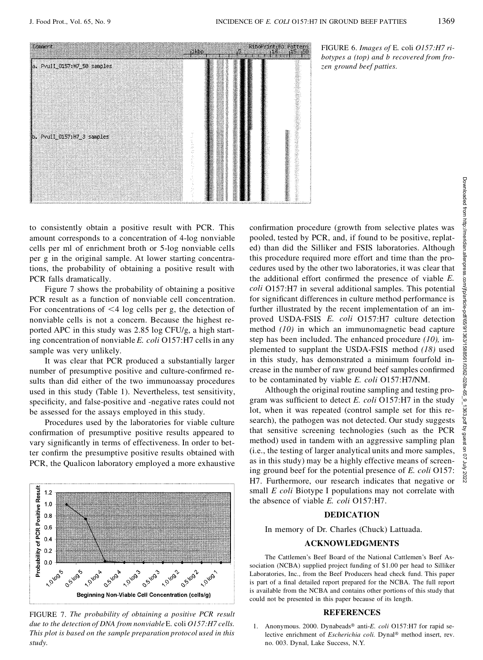

to consistently obtain a positive result with PCR. This amount corresponds to a concentration of 4-log nonviable cells per ml of enrichment broth or 5-log nonviable cells per g in the original sample. At lower starting concentrations, the probability of obtaining a positive result with PCR falls dramatically.

Figure 7 shows the probability of obtaining a positive PCR result as a function of nonviable cell concentration. For concentrations of  $\leq 4$  log cells per g, the detection of nonviable cells is not a concern. Because the highest reported APC in this study was 2.85 log CFU/g, a high starting concentration of nonviable *E. coli* O157:H7 cells in any sample was very unlikely.

It was clear that PCR produced a substantially larger number of presumptive positive and culture-confirmed results than did either of the two immunoassay procedures used in this study (Table 1). Nevertheless, test sensitivity, specificity, and false-positive and -negative rates could not be assessed for the assays employed in this study.

Procedures used by the laboratories for viable culture confirmation of presumptive positive results appeared to vary significantly in terms of effectiveness. In order to better confirm the presumptive positive results obtained with PCR, the Qualicon laboratory employed a more exhaustive



FIGURE 7. *The probability of obtaining a positive PCR result due to the detection of DNA from nonviable*E. coli *O157:H7 cells. This plot is based on the sample preparation protocol used in this study.*

Figure 1.1 The multime procedure (growth from selective plates was pooled, tested by PCR, and, if found to be positive, replated) than did the Silliker and FSIS laboratories. Although this procedure required more effort a pooled, tested by PCR, and, if found to be positive, replated) than did the Silliker and FSIS laboratories. Although this procedure required more effort and time than the procedures used by the other two laboratories, it was clear that the additional effort confirmed the presence of viable *E*. *coli* O157:H7 in several additional samples. This potential for significant differences in culture method performance is further illustrated by the recent implementation of an improved USDA-FSIS *E. coli* O157:H7 culture detection method *(10)* in which an immunomagnetic bead capture step has been included. The enhanced procedure *(10),* implemented to supplant the USDA-FSIS method *(18)* used in this study, has demonstrated a minimum fourfold increase in the number of raw ground beef samples confirmed to be contaminated by viable *E. coli* O157:H7/NM. **Example 12.** The matrix of the Silichard of the National Contention and the Silichard of the Silichard of the Silichard of the Silichard of the Silichard of the Silichard of the Silichard of the Silichard of the Silichar

Although the original routine sampling and testing program was sufficient to detect *E. coli* O157:H7 in the study lot, when it was repeated (control sample set for this research), the pathogen was not detected. Our study suggests that sensitive screening technologies (such as the PCR method) used in tandem with an aggressive sampling plan<br>(i.e., the testing of larger analytical units and more samples,<br> $\frac{2}{3}$ (i.e., the testing of larger analytical units and more samples, as in this study) may be a highly effective means of screenas in this study) may be a highly effective means of screen-<br>ing ground beef for the potential presence of *E. coli* O157:<br>H7. Furthermore, our research indicates that negative or H7. Furthermore, our research indicates that negative or small *E coli* Biotype I populations may not correlate with the absence of viable *E. coli* O157:H7.

## **DEDICATION**

In memory of Dr. Charles (Chuck) Lattuada.

#### **ACKNOWLEDGMENTS**

The Cattlemen's Beef Board of the National Cattlemen's Beef Association (NCBA) supplied project funding of \$1.00 per head to Silliker Laboratories, Inc., from the Beef Producers head check fund. This paper is part of a final detailed report prepared for the NCBA. The full report is available from the NCBA and contains other portions of this study that could not be presented in this paper because of its length.

#### **REFERENCES**

1. Anonymous. 2000. Dynabeads<sup>®</sup> anti-*E. coli* O157:H7 for rapid selective enrichment of *Escherichia coli*. Dynal® method insert, rev.